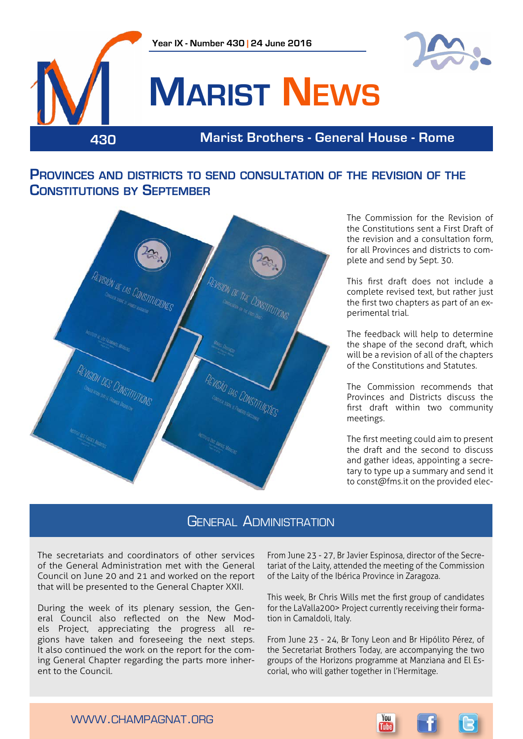



## **Marist News**

**430 Marist Brothers - General House - Rome**

#### **Provinces and districts to send consultation of the revision of the Constitutions by September**



The Commission for the Revision of the Constitutions sent a First Draft of the revision and a consultation form, for all Provinces and districts to complete and send by Sept. 30.

This first draft does not include a complete revised text, but rather just the first two chapters as part of an experimental trial.

The feedback will help to determine the shape of the second draft, which will be a revision of all of the chapters of the Constitutions and Statutes.

The Commission recommends that Provinces and Districts discuss the first draft within two community meetings.

The first meeting could aim to present the draft and the second to discuss and gather ideas, appointing a secretary to type up a summary and send it to const@fms.it on the provided elec-

#### **GENERAL ADMINISTRATION**

The secretariats and coordinators of other services of the General Administration met with the General Council on June 20 and 21 and worked on the report that will be presented to the General Chapter XXII.

During the week of its plenary session, the General Council also reflected on the New Models Project, appreciating the progress all regions have taken and foreseeing the next steps. It also continued the work on the report for the coming General Chapter regarding the parts more inherent to the Council.

From June 23 - 27, Br Javier Espinosa, director of the Secretariat of the Laity, attended the meeting of the Commission of the Laity of the Ibérica Province in Zaragoza.

This week, Br Chris Wills met the first group of candidates for the LaValla200> Project currently receiving their formation in Camaldoli, Italy.

From June 23 - 24, Br Tony Leon and Br Hipólito Pérez, of the Secretariat Brothers Today, are accompanying the two groups of the Horizons programme at Manziana and El Escorial, who will gather together in l'Hermitage.

> You **Tuhe**

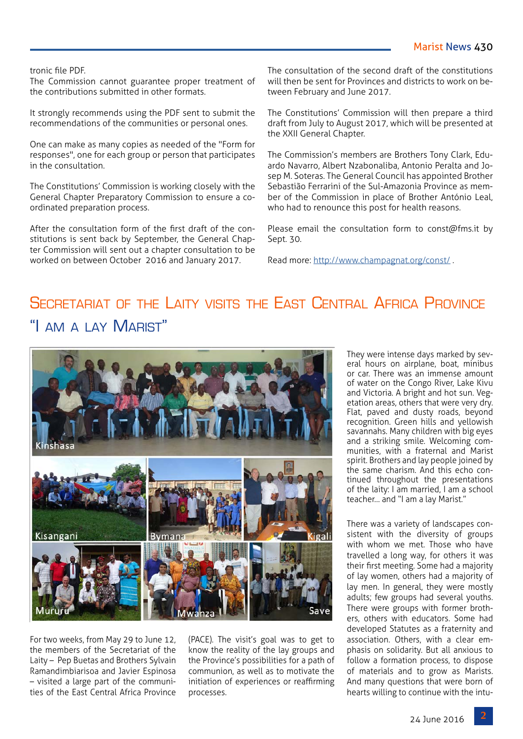#### tronic file PDF.

The Commission cannot guarantee proper treatment of the contributions submitted in other formats.

It strongly recommends using the PDF sent to submit the recommendations of the communities or personal ones.

One can make as many copies as needed of the "Form for responses", one for each group or person that participates in the consultation.

The Constitutions' Commission is working closely with the General Chapter Preparatory Commission to ensure a coordinated preparation process.

After the consultation form of the first draft of the constitutions is sent back by September, the General Chapter Commission will sent out a chapter consultation to be worked on between October 2016 and January 2017.

The consultation of the second draft of the constitutions will then be sent for Provinces and districts to work on between February and June 2017.

The Constitutions' Commission will then prepare a third draft from July to August 2017, which will be presented at the XXII General Chapter.

The Commission's members are Brothers Tony Clark, Eduardo Navarro, Albert Nzabonaliba, Antonio Peralta and Josep M. Soteras. The General Council has appointed Brother Sebastião Ferrarini of the Sul-Amazonia Province as member of the Commission in place of Brother António Leal, who had to renounce this post for health reasons.

Please email the consultation form to const@fms.it by Sept. 30.

Read more: <http://www.champagnat.org/const/>.

### SECRETARIAT OF THE LAITY VISITS THE FAST CENTRAL AFRICA PROVINCE "I AM A LAY MARIST"



For two weeks, from May 29 to June 12, the members of the Secretariat of the Laity – Pep Buetas and Brothers Sylvain Ramandimbiarisoa and Javier Espinosa – visited a large part of the communities of the East Central Africa Province (PACE). The visit's goal was to get to know the reality of the lay groups and the Province's possibilities for a path of communion, as well as to motivate the initiation of experiences or reaffirming processes.

They were intense days marked by several hours on airplane, boat, minibus or car. There was an immense amount of water on the Congo River, Lake Kivu and Victoria. A bright and hot sun. Vegetation areas, others that were very dry. Flat, paved and dusty roads, beyond recognition. Green hills and yellowish savannahs. Many children with big eyes and a striking smile. Welcoming communities, with a fraternal and Marist spirit. Brothers and lay people joined by the same charism. And this echo continued throughout the presentations of the laity: I am married, I am a school teacher… and "I am a lay Marist."

There was a variety of landscapes consistent with the diversity of groups with whom we met. Those who have travelled a long way, for others it was their first meeting. Some had a majority of lay women, others had a majority of lay men. In general, they were mostly adults; few groups had several youths. There were groups with former brothers, others with educators. Some had developed Statutes as a fraternity and association. Others, with a clear emphasis on solidarity. But all anxious to follow a formation process, to dispose of materials and to grow as Marists. And many questions that were born of hearts willing to continue with the intu-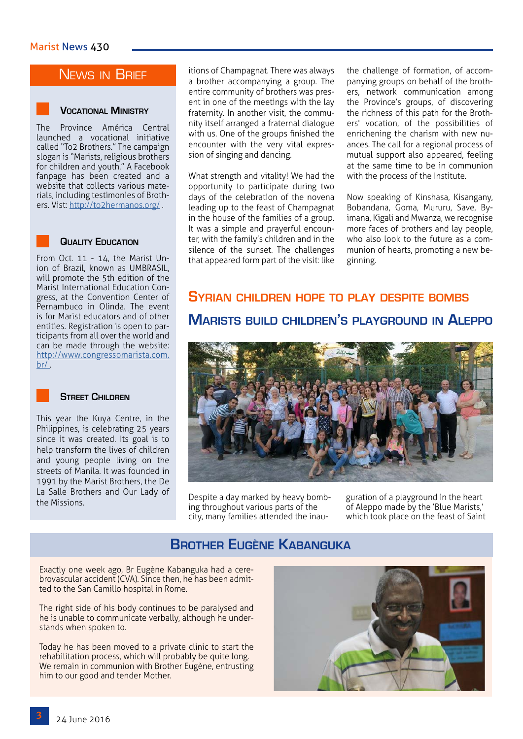#### **NEWS IN BRIEF**

#### **Vocational Ministry**

The Province América Central launched a vocational initiative called "To2 Brothers." The campaign slogan is "Marists, religious brothers for children and youth." A Facebook fanpage has been created and a website that collects various materials, including testimonies of Brothers. Vist: <http://to2hermanos.org/>.

#### **Quality Education**

From Oct. 11 - 14, the Marist Union of Brazil, known as UMBRASIL, will promote the 5th edition of the Marist International Education Congress, at the Convention Center of Pernambuco in Olinda. The event is for Marist educators and of other entities. Registration is open to participants from all over the world and can be made through the website: [http://www.congressomarista.com.](http://www.congressomarista.com.br/ )  $br/$ .



#### **Street Children**

This year the Kuya Centre, in the Philippines, is celebrating 25 years since it was created. Its goal is to help transform the lives of children and young people living on the streets of Manila. It was founded in 1991 by the Marist Brothers, the De La Salle Brothers and Our Lady of the Missions.

itions of Champagnat. There was always a brother accompanying a group. The entire community of brothers was present in one of the meetings with the lay fraternity. In another visit, the community itself arranged a fraternal dialogue with us. One of the groups finished the encounter with the very vital expression of singing and dancing.

What strength and vitality! We had the opportunity to participate during two days of the celebration of the novena leading up to the feast of Champagnat in the house of the families of a group. It was a simple and prayerful encounter, with the family's children and in the silence of the sunset. The challenges that appeared form part of the visit: like the challenge of formation, of accompanying groups on behalf of the brothers, network communication among the Province's groups, of discovering the richness of this path for the Brothers' vocation, of the possibilities of enrichening the charism with new nuances. The call for a regional process of mutual support also appeared, feeling at the same time to be in communion with the process of the Institute.

Now speaking of Kinshasa, Kisangany, Bobandana, Goma, Mururu, Save, Byimana, Kigali and Mwanza, we recognise more faces of brothers and lay people, who also look to the future as a communion of hearts, promoting a new beginning.

#### **Syrian children hope to play despite bombs**

#### **Marists build children's playground in Aleppo**



Despite a day marked by heavy bombing throughout various parts of the city, many families attended the inauguration of a playground in the heart of Aleppo made by the 'Blue Marists,' which took place on the feast of Saint

#### **Brother Eugène Kabanguka**

Exactly one week ago, Br Eugène Kabanguka had a cerebrovascular accident (CVA). Since then, he has been admitted to the San Camillo hospital in Rome.

The right side of his body continues to be paralysed and he is unable to communicate verbally, although he understands when spoken to.

Today he has been moved to a private clinic to start the rehabilitation process, which will probably be quite long. We remain in communion with Brother Eugène, entrusting him to our good and tender Mother.

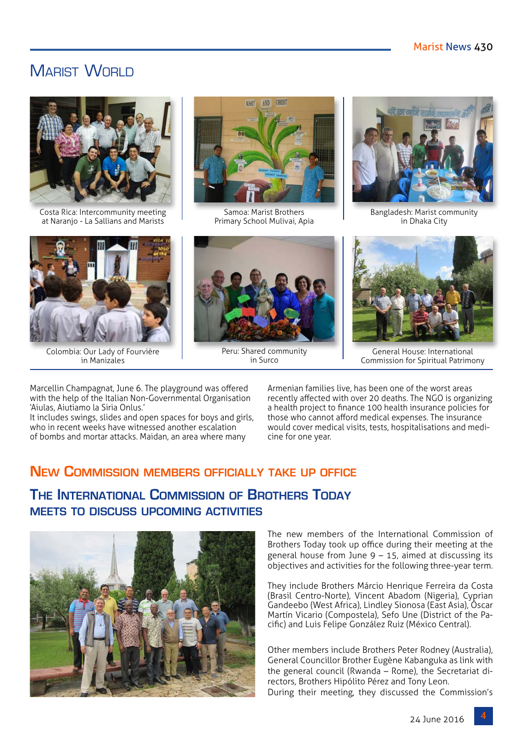#### MARIST WORLD



Costa Rica: Intercommunity meeting at Naranjo - La Sallians and Marists



Colombia: Our Lady of Fourvière in Manizales



Samoa: Marist Brothers Primary School Mulivai, Apia



Bangladesh: Marist community in Dhaka City



Peru: Shared community in Surco



General House: International Commission for Spiritual Patrimony

Marcellin Champagnat, June 6. The playground was offered with the help of the Italian Non-Governmental Organisation 'Aiulas, Aiutiamo la Siria Onlus.'

It includes swings, slides and open spaces for boys and girls, who in recent weeks have witnessed another escalation of bombs and mortar attacks. Maidan, an area where many

Armenian families live, has been one of the worst areas recently affected with over 20 deaths. The NGO is organizing a health project to finance 100 health insurance policies for those who cannot afford medical expenses. The insurance would cover medical visits, tests, hospitalisations and medicine for one year.

#### **New Commission members officially take up office**

#### **The International Commission of Brothers Today meets to discuss upcoming activities**



The new members of the International Commission of Brothers Today took up office during their meeting at the general house from June  $9 - 15$ , aimed at discussing its objectives and activities for the following three-year term.

They include Brothers Márcio Henrique Ferreira da Costa (Brasil Centro-Norte), Vincent Abadom (Nigeria), Cyprian Gandeebo (West Africa), Lindley Sionosa (East Asia), Óscar Martín Vicario (Compostela), Sefo Une (District of the Pacific) and Luis Felipe González Ruiz (México Central).

Other members include Brothers Peter Rodney (Australia), General Councillor Brother Eugène Kabanguka as link with the general council (Rwanda – Rome), the Secretariat directors, Brothers Hipólito Pérez and Tony Leon.

During their meeting, they discussed the Commission's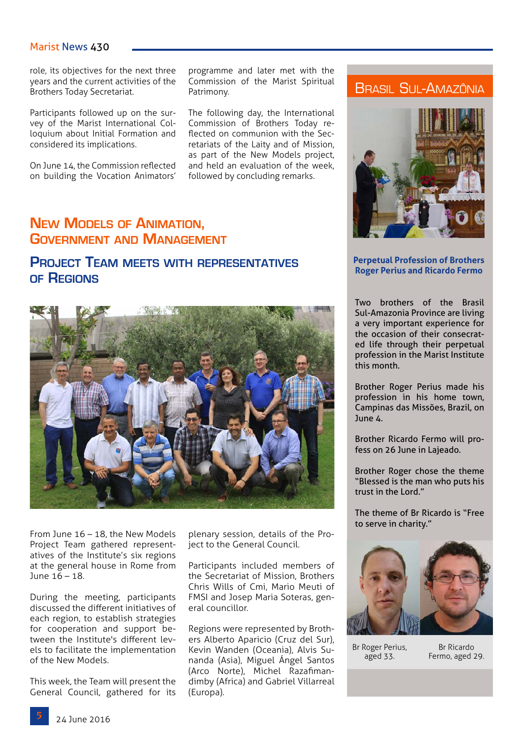#### Marist News 430

role, its objectives for the next three years and the current activities of the Brothers Today Secretariat.

Participants followed up on the survey of the Marist International Colloquium about Initial Formation and considered its implications.

On June 14, the Commission reflected on building the Vocation Animators' programme and later met with the Commission of the Marist Spiritual Patrimony.

The following day, the International Commission of Brothers Today reflected on communion with the Secretariats of the Laity and of Mission, as part of the New Models project, and held an evaluation of the week, followed by concluding remarks.

#### **New Models of Animation, Government and Management**

#### **Project Team meets with representatives of Regions**



From June 16 – 18, the New Models Project Team gathered representatives of the Institute's six regions at the general house in Rome from June 16 – 18.

During the meeting, participants discussed the different initiatives of each region, to establish strategies for cooperation and support between the Institute's different levels to facilitate the implementation of the New Models.

This week, the Team will present the General Council, gathered for its plenary session, details of the Project to the General Council.

Participants included members of the Secretariat of Mission, Brothers Chris Wills of Cmi, Mario Meuti of FMSI and Josep Maria Soteras, general councillor.

Regions were represented by Brothers Alberto Aparicio (Cruz del Sur), Kevin Wanden (Oceania), Alvis Sunanda (Asia), Miguel Ángel Santos (Arco Norte), Michel Razafimandimby (Africa) and Gabriel Villarreal (Europa).

#### Brasil Sul-Amazônia



#### **Perpetual Profession of Brothers Roger Perius and Ricardo Fermo**

Two brothers of the Brasil Sul-Amazonia Province are living a very important experience for the occasion of their consecrated life through their perpetual profession in the Marist Institute this month.

Brother Roger Perius made his profession in his home town, Campinas das Missões, Brazil, on June 4.

Brother Ricardo Fermo will profess on 26 June in Lajeado.

Brother Roger chose the theme "Blessed is the man who puts his trust in the Lord."

The theme of Br Ricardo is "Free to serve in charity."



Br Roger Perius, aged 33.

Br Ricardo Fermo, aged 29.